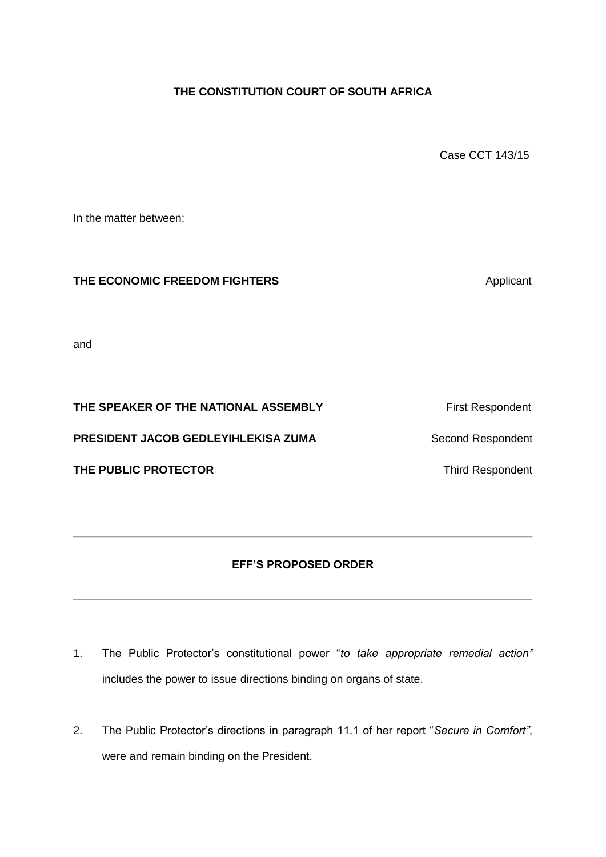## **THE CONSTITUTION COURT OF SOUTH AFRICA**

Case CCT 143/15

In the matter between:

## **THE ECONOMIC FREEDOM FIGHTERS** Applicant

and

## **THE SPEAKER OF THE NATIONAL ASSEMBLY** First Respondent

**PRESIDENT JACOB GEDLEYIHLEKISA ZUMA** Second Respondent

**THE PUBLIC PROTECTOR** Third Respondent

## **EFF'S PROPOSED ORDER**

- 1. The Public Protector's constitutional power "*to take appropriate remedial action"* includes the power to issue directions binding on organs of state.
- 2. The Public Protector's directions in paragraph 11.1 of her report "*Secure in Comfort"*, were and remain binding on the President.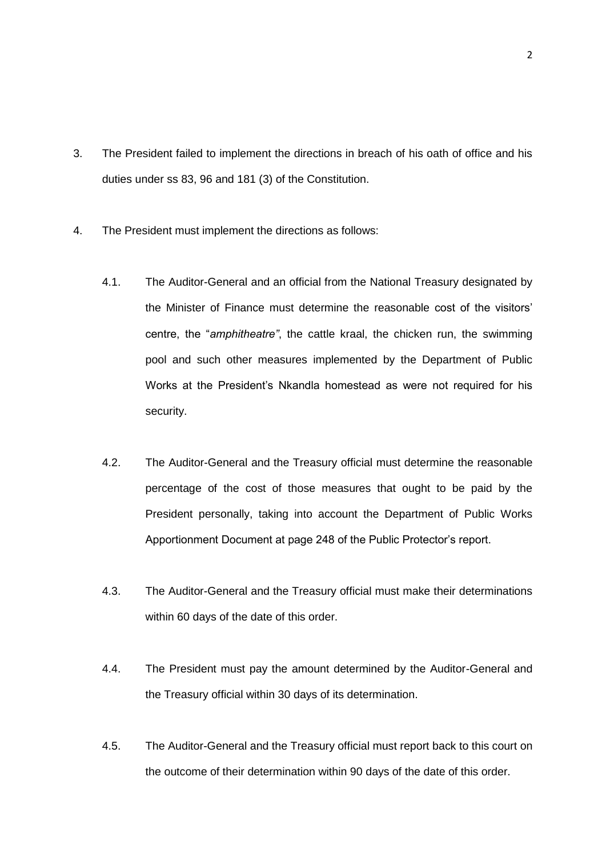- 3. The President failed to implement the directions in breach of his oath of office and his duties under ss 83, 96 and 181 (3) of the Constitution.
- 4. The President must implement the directions as follows:
	- 4.1. The Auditor-General and an official from the National Treasury designated by the Minister of Finance must determine the reasonable cost of the visitors' centre, the "*amphitheatre"*, the cattle kraal, the chicken run, the swimming pool and such other measures implemented by the Department of Public Works at the President's Nkandla homestead as were not required for his security.
	- 4.2. The Auditor-General and the Treasury official must determine the reasonable percentage of the cost of those measures that ought to be paid by the President personally, taking into account the Department of Public Works Apportionment Document at page 248 of the Public Protector's report.
	- 4.3. The Auditor-General and the Treasury official must make their determinations within 60 days of the date of this order.
	- 4.4. The President must pay the amount determined by the Auditor-General and the Treasury official within 30 days of its determination.
	- 4.5. The Auditor-General and the Treasury official must report back to this court on the outcome of their determination within 90 days of the date of this order.